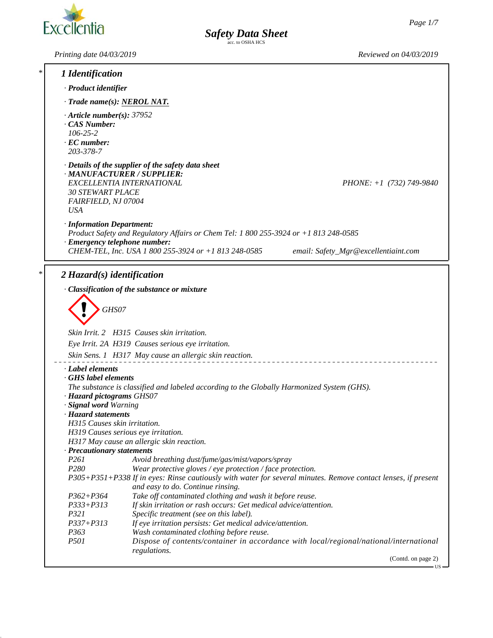US



*Printing date 04/03/2019 Reviewed on 04/03/2019*

| *.                   | 1 Identification                                                                                                                                                                                                  |  |  |  |  |
|----------------------|-------------------------------------------------------------------------------------------------------------------------------------------------------------------------------------------------------------------|--|--|--|--|
| · Product identifier |                                                                                                                                                                                                                   |  |  |  |  |
|                      | $\cdot$ Trade name(s): NEROL NAT.                                                                                                                                                                                 |  |  |  |  |
|                      | $\cdot$ Article number(s): 37952<br>CAS Number:<br>$106 - 25 - 2$<br>$\cdot$ EC number:<br>203-378-7                                                                                                              |  |  |  |  |
|                      | $\cdot$ Details of the supplier of the safety data sheet<br>· MANUFACTURER / SUPPLIER:<br>EXCELLENTIA INTERNATIONAL<br>$PHONE: +1$ (732) 749-9840<br><b>30 STEWART PLACE</b><br>FAIRFIELD, NJ 07004<br><b>USA</b> |  |  |  |  |
|                      | · Information Department:<br>Product Safety and Regulatory Affairs or Chem Tel: 1 800 255-3924 or +1 813 248-0585                                                                                                 |  |  |  |  |
|                      | · Emergency telephone number:<br>CHEM-TEL, Inc. USA 1 800 255-3924 or +1 813 248-0585<br>email: Safety_Mgr@excellentiaint.com                                                                                     |  |  |  |  |
| *                    | $2$ Hazard(s) identification                                                                                                                                                                                      |  |  |  |  |
|                      | · Classification of the substance or mixture                                                                                                                                                                      |  |  |  |  |
|                      | GHS07                                                                                                                                                                                                             |  |  |  |  |
|                      | Skin Irrit. 2 H315 Causes skin irritation.                                                                                                                                                                        |  |  |  |  |
|                      | Eye Irrit. 2A H319 Causes serious eye irritation.                                                                                                                                                                 |  |  |  |  |
|                      | Skin Sens. 1 H317 May cause an allergic skin reaction.                                                                                                                                                            |  |  |  |  |
|                      | · Label elements                                                                                                                                                                                                  |  |  |  |  |
|                      | GHS label elements<br>The substance is classified and labeled according to the Globally Harmonized System (GHS).<br>· Hazard pictograms GHS07                                                                     |  |  |  |  |
|                      | · Signal word Warning<br>· Hazard statements                                                                                                                                                                      |  |  |  |  |
|                      | H315 Causes skin irritation.                                                                                                                                                                                      |  |  |  |  |
|                      | H319 Causes serious eye irritation.                                                                                                                                                                               |  |  |  |  |
|                      | H317 May cause an allergic skin reaction.<br>· Precautionary statements                                                                                                                                           |  |  |  |  |
|                      | P <sub>261</sub><br>Avoid breathing dust/fume/gas/mist/vapors/spray                                                                                                                                               |  |  |  |  |
|                      | P280<br>Wear protective gloves / eye protection / face protection.                                                                                                                                                |  |  |  |  |
|                      | P305+P351+P338 If in eyes: Rinse cautiously with water for several minutes. Remove contact lenses, if present<br>and easy to do. Continue rinsing.                                                                |  |  |  |  |
|                      | Take off contaminated clothing and wash it before reuse.<br>$P362 + P364$                                                                                                                                         |  |  |  |  |
|                      | If skin irritation or rash occurs: Get medical advice/attention.<br>$P333 + P313$                                                                                                                                 |  |  |  |  |
|                      | P321<br>Specific treatment (see on this label).<br>$P337 + P313$<br>If eye irritation persists: Get medical advice/attention.                                                                                     |  |  |  |  |
|                      | P <sub>363</sub><br>Wash contaminated clothing before reuse.                                                                                                                                                      |  |  |  |  |
|                      | P501<br>Dispose of contents/container in accordance with local/regional/national/international<br>regulations.                                                                                                    |  |  |  |  |
|                      | (Contd. on page 2)                                                                                                                                                                                                |  |  |  |  |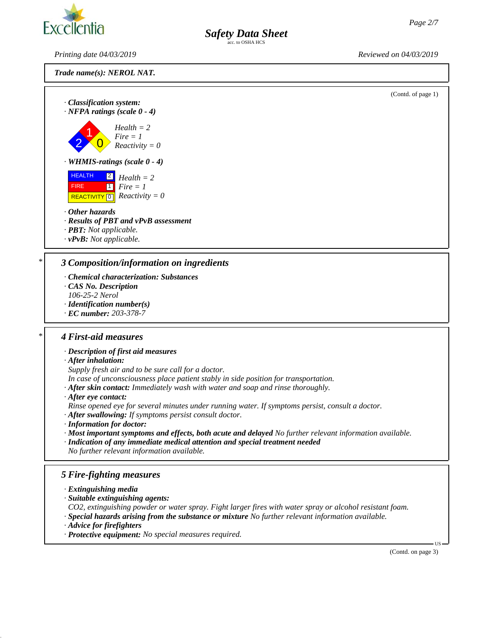

*Safety Data Sheet* 

*Printing date 04/03/2019 Reviewed on 04/03/2019*

*Trade name(s): NEROL NAT.*



*· After eye contact:*

*Rinse opened eye for several minutes under running water. If symptoms persist, consult a doctor.*

- *· After swallowing: If symptoms persist consult doctor.*
- *· Information for doctor:*
- *· Most important symptoms and effects, both acute and delayed No further relevant information available.*
- *· Indication of any immediate medical attention and special treatment needed No further relevant information available.*

#### *5 Fire-fighting measures*

- *· Extinguishing media*
- *· Suitable extinguishing agents:*

*CO2, extinguishing powder or water spray. Fight larger fires with water spray or alcohol resistant foam.*

- *· Special hazards arising from the substance or mixture No further relevant information available.*
- *· Advice for firefighters*
- *· Protective equipment: No special measures required.*

(Contd. on page 3)

US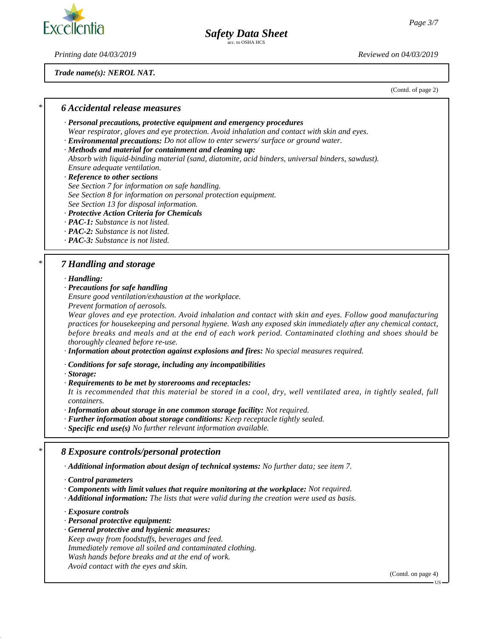

### *Safety Data Sheet*

c. to OSHA HCS

*Printing date 04/03/2019 Reviewed on 04/03/2019*

*Trade name(s): NEROL NAT.*

(Contd. of page 2)

#### *\* 6 Accidental release measures*

- *· Personal precautions, protective equipment and emergency procedures*
- *Wear respirator, gloves and eye protection. Avoid inhalation and contact with skin and eyes.*
- *· Environmental precautions: Do not allow to enter sewers/ surface or ground water.*
- *· Methods and material for containment and cleaning up: Absorb with liquid-binding material (sand, diatomite, acid binders, universal binders, sawdust). Ensure adequate ventilation.*
- *· Reference to other sections*
- *See Section 7 for information on safe handling.*
- *See Section 8 for information on personal protection equipment.*
- *See Section 13 for disposal information.*

#### *· Protective Action Criteria for Chemicals*

- *· PAC-1: Substance is not listed.*
- *· PAC-2: Substance is not listed.*
- *· PAC-3: Substance is not listed.*

#### *\* 7 Handling and storage*

*· Handling:*

*· Precautions for safe handling*

*Ensure good ventilation/exhaustion at the workplace.*

*Prevent formation of aerosols.*

*Wear gloves and eye protection. Avoid inhalation and contact with skin and eyes. Follow good manufacturing practices for housekeeping and personal hygiene. Wash any exposed skin immediately after any chemical contact, before breaks and meals and at the end of each work period. Contaminated clothing and shoes should be thoroughly cleaned before re-use.*

*· Information about protection against explosions and fires: No special measures required.*

*· Conditions for safe storage, including any incompatibilities*

*· Storage:*

*· Requirements to be met by storerooms and receptacles:*

*It is recommended that this material be stored in a cool, dry, well ventilated area, in tightly sealed, full containers.*

*· Information about storage in one common storage facility: Not required.*

- *· Further information about storage conditions: Keep receptacle tightly sealed.*
- *· Specific end use(s) No further relevant information available.*

#### *\* 8 Exposure controls/personal protection*

*· Additional information about design of technical systems: No further data; see item 7.*

- *· Components with limit values that require monitoring at the workplace: Not required.*
- *· Additional information: The lists that were valid during the creation were used as basis.*

*· Exposure controls*

- *· Personal protective equipment:*
- *· General protective and hygienic measures:*
- *Keep away from foodstuffs, beverages and feed.*

*Immediately remove all soiled and contaminated clothing.*

*Wash hands before breaks and at the end of work.*

*Avoid contact with the eyes and skin.*

(Contd. on page 4)

US

*<sup>·</sup> Control parameters*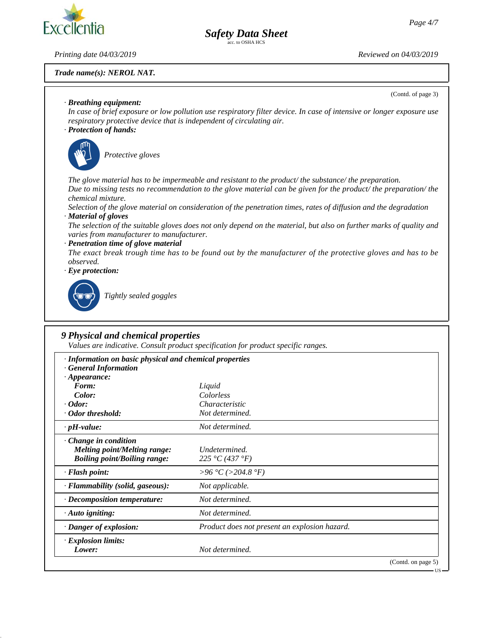(Contd. of page 3)

# Exce

*Printing date 04/03/2019 Reviewed on 04/03/2019*

#### *Trade name(s): NEROL NAT.*

### *· Breathing equipment:*

*In case of brief exposure or low pollution use respiratory filter device. In case of intensive or longer exposure use respiratory protective device that is independent of circulating air.*

*Safety Data Sheet* c. to OSHA HCS

*· Protection of hands:*



\_S*Protective gloves*

*The glove material has to be impermeable and resistant to the product/ the substance/ the preparation. Due to missing tests no recommendation to the glove material can be given for the product/ the preparation/ the chemical mixture.*

*Selection of the glove material on consideration of the penetration times, rates of diffusion and the degradation · Material of gloves*

*The selection of the suitable gloves does not only depend on the material, but also on further marks of quality and varies from manufacturer to manufacturer.*

*· Penetration time of glove material*

*The exact break trough time has to be found out by the manufacturer of the protective gloves and has to be observed.*

*· Eye protection:*



\_R*Tightly sealed goggles*

#### *9 Physical and chemical properties*

*Values are indicative. Consult product specification for product specific ranges.*

| · Information on basic physical and chemical properties<br><b>General Information</b> |                                               |                    |
|---------------------------------------------------------------------------------------|-----------------------------------------------|--------------------|
| $\cdot$ Appearance:                                                                   |                                               |                    |
| Form:                                                                                 | Liquid                                        |                    |
| Color:                                                                                | Colorless                                     |                    |
| $\cdot$ Odor:                                                                         | Characteristic                                |                    |
| · Odor threshold:                                                                     | Not determined.                               |                    |
| $\cdot$ pH-value:                                                                     | Not determined.                               |                    |
| Change in condition                                                                   |                                               |                    |
| Melting point/Melting range:                                                          | Undetermined.                                 |                    |
| <b>Boiling point/Boiling range:</b>                                                   | 225 °C (437 °F)                               |                    |
| · Flash point:                                                                        | >96 °C (>204.8 °F)                            |                    |
| · Flammability (solid, gaseous):                                                      | Not applicable.                               |                    |
| $\cdot$ Decomposition temperature:                                                    | Not determined.                               |                    |
| $\cdot$ Auto igniting:                                                                | Not determined.                               |                    |
| · Danger of explosion:                                                                | Product does not present an explosion hazard. |                    |
| · Explosion limits:                                                                   |                                               |                    |
| Lower:                                                                                | Not determined.                               |                    |
|                                                                                       |                                               | (Contd. on page 5) |

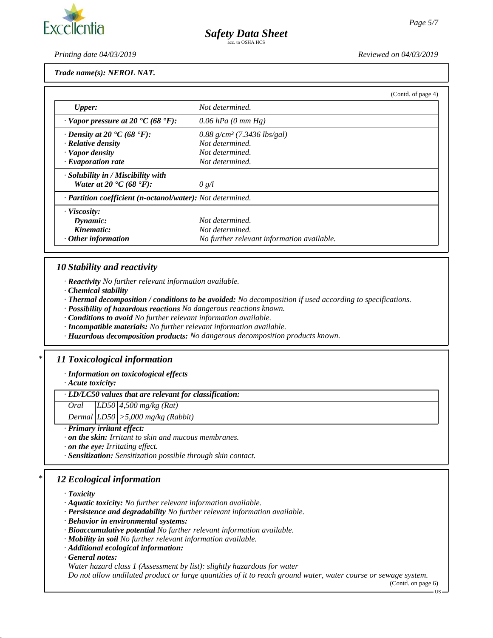*Printing date 04/03/2019 Reviewed on 04/03/2019*

*Trade name(s): NEROL NAT.*

|                                                                    |                                            | (Contd. of page 4) |
|--------------------------------------------------------------------|--------------------------------------------|--------------------|
| <b>Upper:</b>                                                      | Not determined.                            |                    |
| $\cdot$ Vapor pressure at 20 $\textdegree$ C (68 $\textdegree$ F): | 0.06 hPa $(0 \text{ mm Hg})$               |                    |
| $\cdot$ Density at 20 $\cdot$ C (68 $\cdot$ F):                    | $0.88$ g/cm <sup>3</sup> (7.3436 lbs/gal)  |                    |
| $\cdot$ Relative density                                           | Not determined.                            |                    |
| · Vapor density                                                    | Not determined.                            |                    |
| $\cdot$ Evaporation rate                                           | Not determined.                            |                    |
| $\cdot$ Solubility in / Miscibility with                           |                                            |                    |
| Water at 20 $\textdegree$ C (68 $\textdegree$ F):                  | 0 g/l                                      |                    |
| · Partition coefficient (n-octanol/water): Not determined.         |                                            |                    |
| $\cdot$ Viscosity:                                                 |                                            |                    |
| Dynamic:                                                           | Not determined.                            |                    |
| Kinematic:                                                         | Not determined.                            |                    |
| $\cdot$ Other information                                          | No further relevant information available. |                    |

#### *10 Stability and reactivity*

*· Reactivity No further relevant information available.*

*· Chemical stability*

*· Thermal decomposition / conditions to be avoided: No decomposition if used according to specifications.*

*· Possibility of hazardous reactions No dangerous reactions known.*

*· Conditions to avoid No further relevant information available.*

*· Incompatible materials: No further relevant information available.*

*· Hazardous decomposition products: No dangerous decomposition products known.*

#### *\* 11 Toxicological information*

*· Information on toxicological effects*

*· Acute toxicity:*

*· LD/LC50 values that are relevant for classification:*

*Oral LD50 4,500 mg/kg (Rat)*

*Dermal LD50 >5,000 mg/kg (Rabbit)*

*· Primary irritant effect:*

*· on the skin: Irritant to skin and mucous membranes.*

*· on the eye: Irritating effect.*

*· Sensitization: Sensitization possible through skin contact.*

#### *\* 12 Ecological information*

*· Toxicity*

*· Aquatic toxicity: No further relevant information available.*

*· Persistence and degradability No further relevant information available.*

*· Behavior in environmental systems:*

*· Bioaccumulative potential No further relevant information available.*

*· Mobility in soil No further relevant information available.*

*· Additional ecological information:*

*· General notes:*

*Water hazard class 1 (Assessment by list): slightly hazardous for water*

*Do not allow undiluted product or large quantities of it to reach ground water, water course or sewage system.*

(Contd. on page 6)

US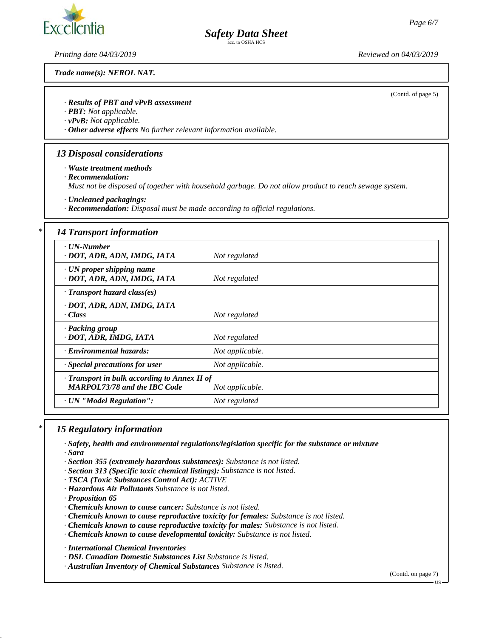# **Excellentia**

*Printing date 04/03/2019 Reviewed on 04/03/2019*

*Trade name(s): NEROL NAT.*

(Contd. of page 5)

#### *· Results of PBT and vPvB assessment*

*· PBT: Not applicable.*

*· vPvB: Not applicable.*

*· Other adverse effects No further relevant information available.*

#### *13 Disposal considerations*

*· Waste treatment methods*

*· Recommendation:*

*Must not be disposed of together with household garbage. Do not allow product to reach sewage system.*

*Safety Data Sheet* 

*· Uncleaned packagings:*

*· Recommendation: Disposal must be made according to official regulations.*

#### *\* 14 Transport information*

| · UN-Number<br>· DOT, ADR, ADN, IMDG, IATA                                                | Not regulated   |
|-------------------------------------------------------------------------------------------|-----------------|
| $\cdot$ UN proper shipping name<br>· DOT, ADR, ADN, IMDG, IATA                            | Not regulated   |
| $\cdot$ Transport hazard class(es)                                                        |                 |
| · DOT, ADR, ADN, IMDG, IATA<br>· Class                                                    | Not regulated   |
| · Packing group<br>· DOT, ADR, IMDG, IATA                                                 | Not regulated   |
| Environmental hazards:                                                                    | Not applicable. |
| · Special precautions for user                                                            | Not applicable. |
| $\cdot$ Transport in bulk according to Annex II of<br><b>MARPOL73/78 and the IBC Code</b> | Not applicable. |
| · UN "Model Regulation":                                                                  | Not regulated   |
|                                                                                           |                 |

#### *\* 15 Regulatory information*

- *· Safety, health and environmental regulations/legislation specific for the substance or mixture · Sara*
- *· Section 355 (extremely hazardous substances): Substance is not listed.*
- *· Section 313 (Specific toxic chemical listings): Substance is not listed.*
- *· TSCA (Toxic Substances Control Act): ACTIVE*
- *· Hazardous Air Pollutants Substance is not listed.*

*· Proposition 65*

- *· Chemicals known to cause cancer: Substance is not listed.*
- *· Chemicals known to cause reproductive toxicity for females: Substance is not listed.*
- *· Chemicals known to cause reproductive toxicity for males: Substance is not listed.*
- *· Chemicals known to cause developmental toxicity: Substance is not listed.*

*· International Chemical Inventories*

- *· DSL Canadian Domestic Substances List Substance is listed.*
- *· Australian Inventory of Chemical Substances Substance is listed.*

(Contd. on page 7)

US